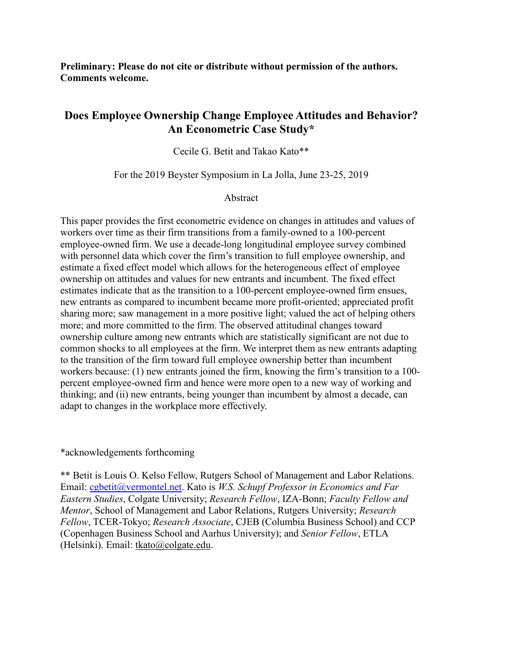**Preliminary: Please do not cite or distribute without permission of the authors. Comments welcome.** 

# **Does Employee Ownership Change Employee Attitudes and Behavior? An Econometric Case Study\***

Cecile G. Betit and Takao Kato\*\*

For the 2019 Beyster Symposium in La Jolla, June 23-25, 2019

Abstract

This paper provides the first econometric evidence on changes in attitudes and values of workers over time as their firm transitions from a family-owned to a 100-percent employee-owned firm. We use a decade-long longitudinal employee survey combined with personnel data which cover the firm's transition to full employee ownership, and estimate a fixed effect model which allows for the heterogeneous effect of employee ownership on attitudes and values for new entrants and incumbent. The fixed effect estimates indicate that as the transition to a 100-percent employee-owned firm ensues, new entrants as compared to incumbent became more profit-oriented; appreciated profit sharing more; saw management in a more positive light; valued the act of helping others more; and more committed to the firm. The observed attitudinal changes toward ownership culture among new entrants which are statistically significant are not due to common shocks to all employees at the firm. We interpret them as new entrants adapting to the transition of the firm toward full employee ownership better than incumbent workers because: (1) new entrants joined the firm, knowing the firm's transition to a 100 percent employee-owned firm and hence were more open to a new way of working and thinking; and (ii) new entrants, being younger than incumbent by almost a decade, can adapt to changes in the workplace more effectively.

\*acknowledgements forthcoming

\*\* Betit is Louis O. Kelso Fellow, Rutgers School of Management and Labor Relations. Email: [cgbetit@vermontel.net.](mailto:cgbetit@vermontel.net) Kato is *W.S. Schupf Professor in Economics and Far Eastern Studies*, Colgate University; *Research Fellow*, IZA-Bonn; *Faculty Fellow and Mentor*, School of Management and Labor Relations, Rutgers University; *Research Fellow*, TCER-Tokyo; *Research Associate*, CJEB (Columbia Business School) and CCP (Copenhagen Business School and Aarhus University); and *Senior Fellow*, ETLA (Helsinki). Email: [tkato@colgate.edu.](mailto:tkato@colgate.edu)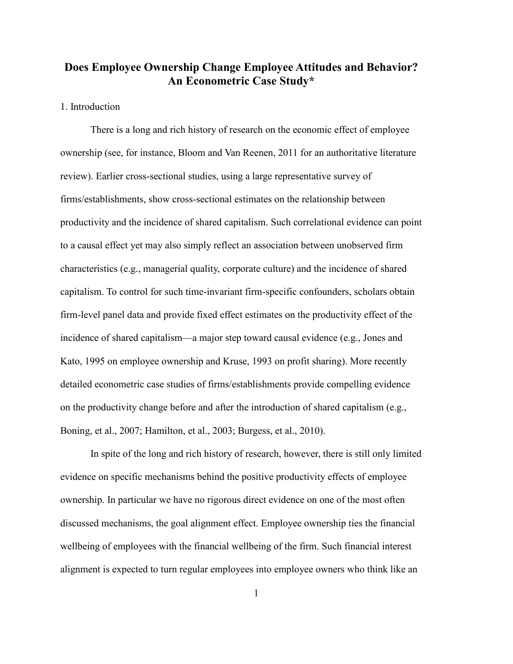# **Does Employee Ownership Change Employee Attitudes and Behavior? An Econometric Case Study\***

### 1. Introduction

There is a long and rich history of research on the economic effect of employee ownership (see, for instance, Bloom and Van Reenen, 2011 for an authoritative literature review). Earlier cross-sectional studies, using a large representative survey of firms/establishments, show cross-sectional estimates on the relationship between productivity and the incidence of shared capitalism. Such correlational evidence can point to a causal effect yet may also simply reflect an association between unobserved firm characteristics (e.g., managerial quality, corporate culture) and the incidence of shared capitalism. To control for such time-invariant firm-specific confounders, scholars obtain firm-level panel data and provide fixed effect estimates on the productivity effect of the incidence of shared capitalism—a major step toward causal evidence (e.g., Jones and Kato, 1995 on employee ownership and Kruse, 1993 on profit sharing). More recently detailed econometric case studies of firms/establishments provide compelling evidence on the productivity change before and after the introduction of shared capitalism (e.g., Boning, et al., 2007; Hamilton, et al., 2003; Burgess, et al., 2010).

In spite of the long and rich history of research, however, there is still only limited evidence on specific mechanisms behind the positive productivity effects of employee ownership. In particular we have no rigorous direct evidence on one of the most often discussed mechanisms, the goal alignment effect. Employee ownership ties the financial wellbeing of employees with the financial wellbeing of the firm. Such financial interest alignment is expected to turn regular employees into employee owners who think like an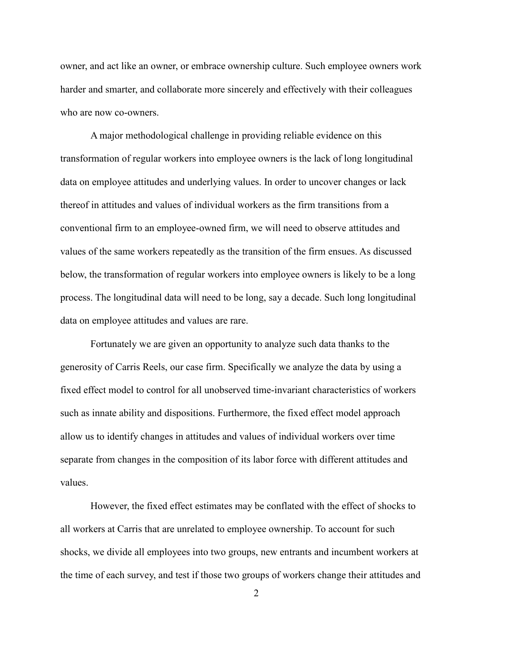owner, and act like an owner, or embrace ownership culture. Such employee owners work harder and smarter, and collaborate more sincerely and effectively with their colleagues who are now co-owners.

A major methodological challenge in providing reliable evidence on this transformation of regular workers into employee owners is the lack of long longitudinal data on employee attitudes and underlying values. In order to uncover changes or lack thereof in attitudes and values of individual workers as the firm transitions from a conventional firm to an employee-owned firm, we will need to observe attitudes and values of the same workers repeatedly as the transition of the firm ensues. As discussed below, the transformation of regular workers into employee owners is likely to be a long process. The longitudinal data will need to be long, say a decade. Such long longitudinal data on employee attitudes and values are rare.

Fortunately we are given an opportunity to analyze such data thanks to the generosity of Carris Reels, our case firm. Specifically we analyze the data by using a fixed effect model to control for all unobserved time-invariant characteristics of workers such as innate ability and dispositions. Furthermore, the fixed effect model approach allow us to identify changes in attitudes and values of individual workers over time separate from changes in the composition of its labor force with different attitudes and values.

However, the fixed effect estimates may be conflated with the effect of shocks to all workers at Carris that are unrelated to employee ownership. To account for such shocks, we divide all employees into two groups, new entrants and incumbent workers at the time of each survey, and test if those two groups of workers change their attitudes and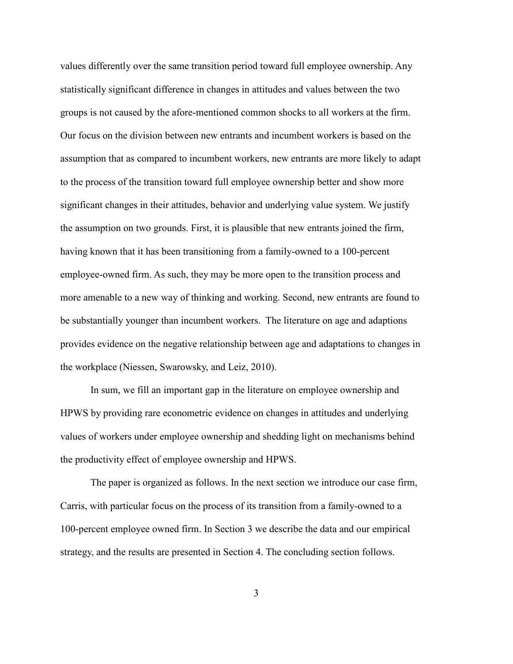values differently over the same transition period toward full employee ownership. Any statistically significant difference in changes in attitudes and values between the two groups is not caused by the afore-mentioned common shocks to all workers at the firm. Our focus on the division between new entrants and incumbent workers is based on the assumption that as compared to incumbent workers, new entrants are more likely to adapt to the process of the transition toward full employee ownership better and show more significant changes in their attitudes, behavior and underlying value system. We justify the assumption on two grounds. First, it is plausible that new entrants joined the firm, having known that it has been transitioning from a family-owned to a 100-percent employee-owned firm. As such, they may be more open to the transition process and more amenable to a new way of thinking and working. Second, new entrants are found to be substantially younger than incumbent workers. The literature on age and adaptions provides evidence on the negative relationship between age and adaptations to changes in the workplace (Niessen, Swarowsky, and Leiz, 2010).

In sum, we fill an important gap in the literature on employee ownership and HPWS by providing rare econometric evidence on changes in attitudes and underlying values of workers under employee ownership and shedding light on mechanisms behind the productivity effect of employee ownership and HPWS.

The paper is organized as follows. In the next section we introduce our case firm, Carris, with particular focus on the process of its transition from a family-owned to a 100-percent employee owned firm. In Section 3 we describe the data and our empirical strategy, and the results are presented in Section 4. The concluding section follows.

3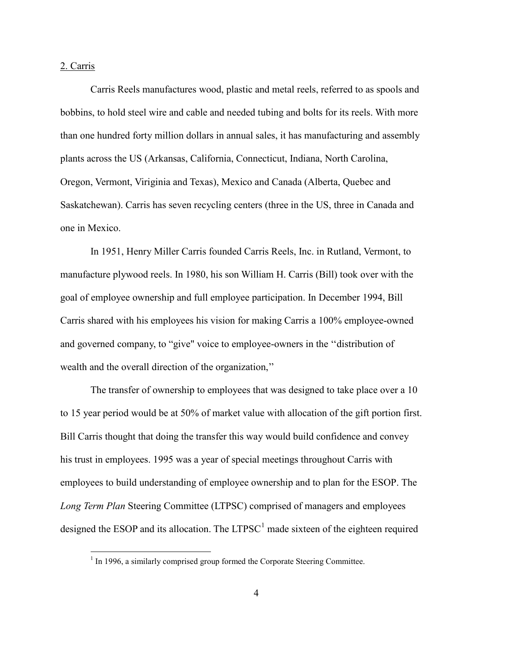#### 2. Carris

 $\overline{a}$ 

Carris Reels manufactures wood, plastic and metal reels, referred to as spools and bobbins, to hold steel wire and cable and needed tubing and bolts for its reels. With more than one hundred forty million dollars in annual sales, it has manufacturing and assembly plants across the US (Arkansas, California, Connecticut, Indiana, North Carolina, Oregon, Vermont, Viriginia and Texas), Mexico and Canada (Alberta, Quebec and Saskatchewan). Carris has seven recycling centers (three in the US, three in Canada and one in Mexico.

In 1951, Henry Miller Carris founded Carris Reels, Inc. in Rutland, Vermont, to manufacture plywood reels. In 1980, his son William H. Carris (Bill) took over with the goal of employee ownership and full employee participation. In December 1994, Bill Carris shared with his employees his vision for making Carris a 100% employee-owned and governed company, to "give" voice to employee-owners in the ''distribution of wealth and the overall direction of the organization,''

The transfer of ownership to employees that was designed to take place over a 10 to 15 year period would be at 50% of market value with allocation of the gift portion first. Bill Carris thought that doing the transfer this way would build confidence and convey his trust in employees. 1995 was a year of special meetings throughout Carris with employees to build understanding of employee ownership and to plan for the ESOP. The *Long Term Plan* Steering Committee (LTPSC) comprised of managers and employees designed the ESOP and its allocation. The  $LTPSC<sup>1</sup>$  $LTPSC<sup>1</sup>$  $LTPSC<sup>1</sup>$  made sixteen of the eighteen required

<span id="page-4-0"></span> $1$  In 1996, a similarly comprised group formed the Corporate Steering Committee.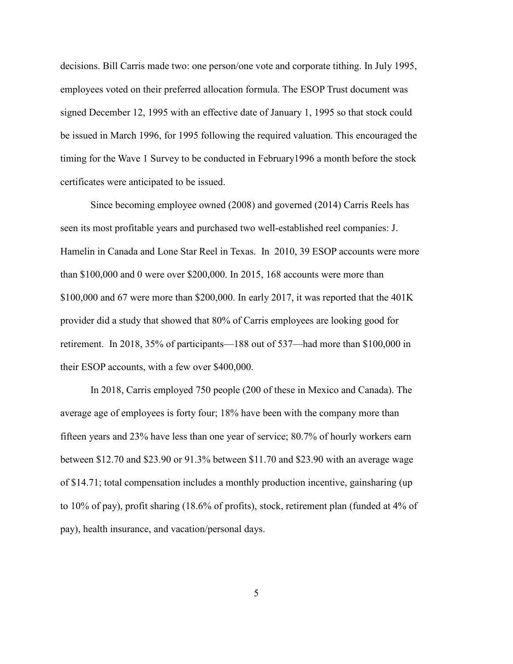decisions. Bill Carris made two: one person/one vote and corporate tithing. In July 1995, employees voted on their preferred allocation formula. The ESOP Trust document was signed December 12, 1995 with an effective date of January 1, 1995 so that stock could be issued in March 1996, for 1995 following the required valuation. This encouraged the timing for the Wave 1 Survey to be conducted in February1996 a month before the stock certificates were anticipated to be issued.

Since becoming employee owned (2008) and governed (2014) Carris Reels has seen its most profitable years and purchased two well-established reel companies: J. Hamelin in Canada and Lone Star Reel in Texas. In 2010, 39 ESOP accounts were more than \$100,000 and 0 were over \$200,000. In 2015, 168 accounts were more than \$100,000 and 67 were more than \$200,000. In early 2017, it was reported that the 401K provider did a study that showed that 80% of Carris employees are looking good for retirement. In 2018, 35% of participants—188 out of 537—had more than \$100,000 in their ESOP accounts, with a few over \$400,000.

In 2018, Carris employed 750 people (200 of these in Mexico and Canada). The average age of employees is forty four; 18% have been with the company more than fifteen years and 23% have less than one year of service; 80.7% of hourly workers earn between \$12.70 and \$23.90 or 91.3% between \$11.70 and \$23.90 with an average wage of \$14.71; total compensation includes a monthly production incentive, gainsharing (up to 10% of pay), profit sharing (18.6% of profits), stock, retirement plan (funded at 4% of pay), health insurance, and vacation/personal days.

5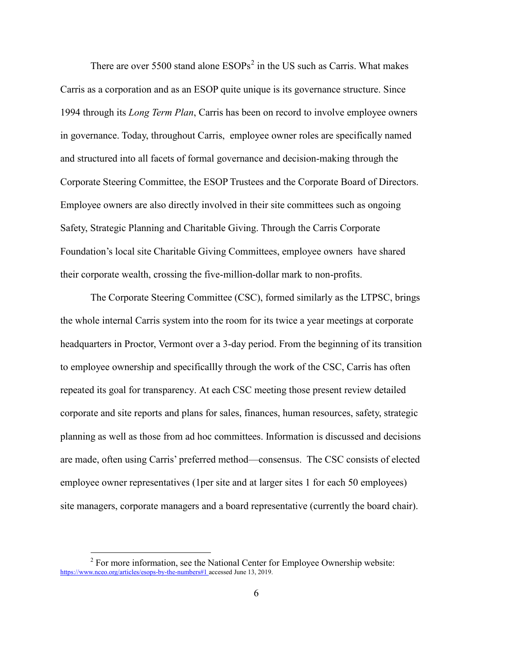There are over 5500 stand alone  $ESOPs<sup>2</sup>$  $ESOPs<sup>2</sup>$  $ESOPs<sup>2</sup>$  in the US such as Carris. What makes Carris as a corporation and as an ESOP quite unique is its governance structure. Since 1994 through its *Long Term Plan*, Carris has been on record to involve employee owners in governance. Today, throughout Carris, employee owner roles are specifically named and structured into all facets of formal governance and decision-making through the Corporate Steering Committee, the ESOP Trustees and the Corporate Board of Directors. Employee owners are also directly involved in their site committees such as ongoing Safety, Strategic Planning and Charitable Giving. Through the Carris Corporate Foundation's local site Charitable Giving Committees, employee owners have shared their corporate wealth, crossing the five-million-dollar mark to non-profits.

The Corporate Steering Committee (CSC), formed similarly as the LTPSC, brings the whole internal Carris system into the room for its twice a year meetings at corporate headquarters in Proctor, Vermont over a 3-day period. From the beginning of its transition to employee ownership and specificallly through the work of the CSC, Carris has often repeated its goal for transparency. At each CSC meeting those present review detailed corporate and site reports and plans for sales, finances, human resources, safety, strategic planning as well as those from ad hoc committees. Information is discussed and decisions are made, often using Carris' preferred method—consensus. The CSC consists of elected employee owner representatives (1per site and at larger sites 1 for each 50 employees) site managers, corporate managers and a board representative (currently the board chair).

 $\overline{a}$ 

<span id="page-6-0"></span> $2^2$  For more information, see the National Center for Employee Ownership website: [https://www.nceo.org/articles/esops-by-the-numbers#1](https://www.nceo.org/articles/esops-by-the-numbers%231) accessed June 13, 2019.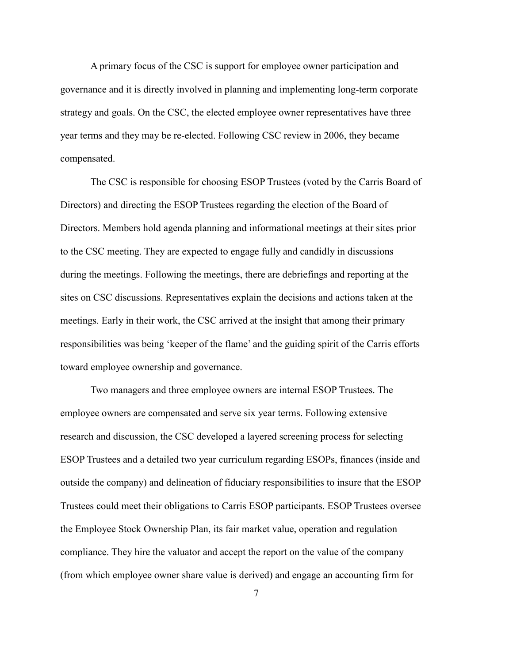A primary focus of the CSC is support for employee owner participation and governance and it is directly involved in planning and implementing long-term corporate strategy and goals. On the CSC, the elected employee owner representatives have three year terms and they may be re-elected. Following CSC review in 2006, they became compensated.

The CSC is responsible for choosing ESOP Trustees (voted by the Carris Board of Directors) and directing the ESOP Trustees regarding the election of the Board of Directors. Members hold agenda planning and informational meetings at their sites prior to the CSC meeting. They are expected to engage fully and candidly in discussions during the meetings. Following the meetings, there are debriefings and reporting at the sites on CSC discussions. Representatives explain the decisions and actions taken at the meetings. Early in their work, the CSC arrived at the insight that among their primary responsibilities was being 'keeper of the flame' and the guiding spirit of the Carris efforts toward employee ownership and governance.

Two managers and three employee owners are internal ESOP Trustees. The employee owners are compensated and serve six year terms. Following extensive research and discussion, the CSC developed a layered screening process for selecting ESOP Trustees and a detailed two year curriculum regarding ESOPs, finances (inside and outside the company) and delineation of fiduciary responsibilities to insure that the ESOP Trustees could meet their obligations to Carris ESOP participants. ESOP Trustees oversee the Employee Stock Ownership Plan, its fair market value, operation and regulation compliance. They hire the valuator and accept the report on the value of the company (from which employee owner share value is derived) and engage an accounting firm for

7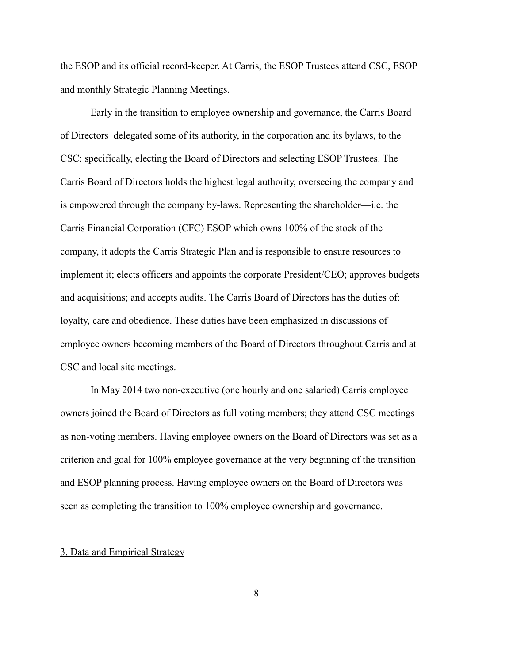the ESOP and its official record-keeper. At Carris, the ESOP Trustees attend CSC, ESOP and monthly Strategic Planning Meetings.

Early in the transition to employee ownership and governance, the Carris Board of Directors delegated some of its authority, in the corporation and its bylaws, to the CSC: specifically, electing the Board of Directors and selecting ESOP Trustees. The Carris Board of Directors holds the highest legal authority, overseeing the company and is empowered through the company by-laws. Representing the shareholder—i.e. the Carris Financial Corporation (CFC) ESOP which owns 100% of the stock of the company, it adopts the Carris Strategic Plan and is responsible to ensure resources to implement it; elects officers and appoints the corporate President/CEO; approves budgets and acquisitions; and accepts audits. The Carris Board of Directors has the duties of: loyalty, care and obedience. These duties have been emphasized in discussions of employee owners becoming members of the Board of Directors throughout Carris and at CSC and local site meetings.

In May 2014 two non-executive (one hourly and one salaried) Carris employee owners joined the Board of Directors as full voting members; they attend CSC meetings as non-voting members. Having employee owners on the Board of Directors was set as a criterion and goal for 100% employee governance at the very beginning of the transition and ESOP planning process. Having employee owners on the Board of Directors was seen as completing the transition to 100% employee ownership and governance.

#### 3. Data and Empirical Strategy

8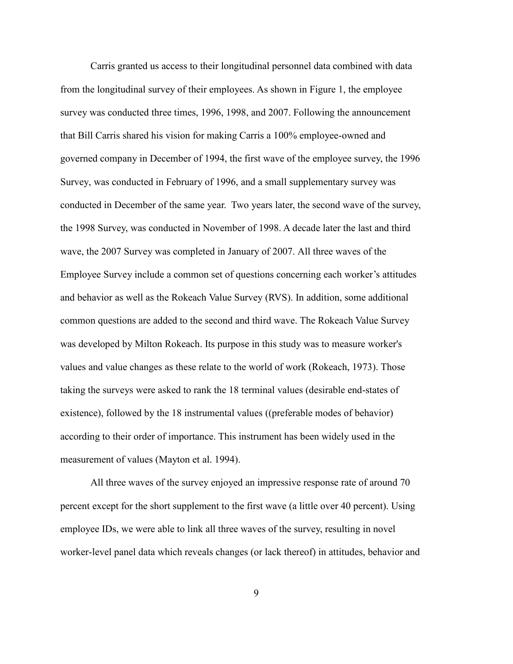Carris granted us access to their longitudinal personnel data combined with data from the longitudinal survey of their employees. As shown in Figure 1, the employee survey was conducted three times, 1996, 1998, and 2007. Following the announcement that Bill Carris shared his vision for making Carris a 100% employee-owned and governed company in December of 1994, the first wave of the employee survey, the 1996 Survey, was conducted in February of 1996, and a small supplementary survey was conducted in December of the same year. Two years later, the second wave of the survey, the 1998 Survey, was conducted in November of 1998. A decade later the last and third wave, the 2007 Survey was completed in January of 2007. All three waves of the Employee Survey include a common set of questions concerning each worker's attitudes and behavior as well as the Rokeach Value Survey (RVS). In addition, some additional common questions are added to the second and third wave. The Rokeach Value Survey was developed by Milton Rokeach. Its purpose in this study was to measure worker's values and value changes as these relate to the world of work (Rokeach, 1973). Those taking the surveys were asked to rank the 18 terminal values (desirable end-states of existence), followed by the 18 instrumental values ((preferable modes of behavior) according to their order of importance. This instrument has been widely used in the measurement of values (Mayton et al. 1994).

All three waves of the survey enjoyed an impressive response rate of around 70 percent except for the short supplement to the first wave (a little over 40 percent). Using employee IDs, we were able to link all three waves of the survey, resulting in novel worker-level panel data which reveals changes (or lack thereof) in attitudes, behavior and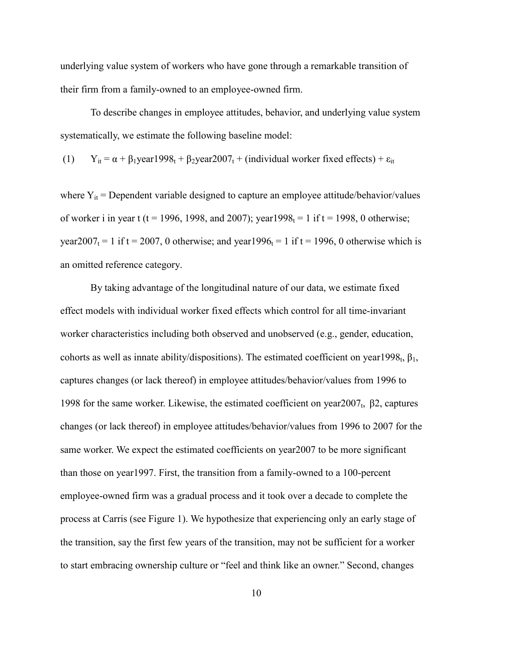underlying value system of workers who have gone through a remarkable transition of their firm from a family-owned to an employee-owned firm.

To describe changes in employee attitudes, behavior, and underlying value system systematically, we estimate the following baseline model:

(1)  $Y_{it} = \alpha + \beta_1$ year1998<sub>t</sub> +  $\beta_2$ year2007<sub>t</sub> + (individual worker fixed effects) +  $\varepsilon_{it}$ 

where  $Y_{it}$  = Dependent variable designed to capture an employee attitude/behavior/values of worker i in year t (t = 1996, 1998, and 2007); year 1998<sub>t</sub> = 1 if t = 1998, 0 otherwise; year2007<sub>t</sub> = 1 if t = 2007, 0 otherwise; and year1996<sub>t</sub> = 1 if t = 1996, 0 otherwise which is an omitted reference category.

By taking advantage of the longitudinal nature of our data, we estimate fixed effect models with individual worker fixed effects which control for all time-invariant worker characteristics including both observed and unobserved (e.g., gender, education, cohorts as well as innate ability/dispositions). The estimated coefficient on year1998<sub>t</sub>,  $\beta_1$ , captures changes (or lack thereof) in employee attitudes/behavior/values from 1996 to 1998 for the same worker. Likewise, the estimated coefficient on year2007<sub>t</sub>, β2, captures changes (or lack thereof) in employee attitudes/behavior/values from 1996 to 2007 for the same worker. We expect the estimated coefficients on year2007 to be more significant than those on year1997. First, the transition from a family-owned to a 100-percent employee-owned firm was a gradual process and it took over a decade to complete the process at Carris (see Figure 1). We hypothesize that experiencing only an early stage of the transition, say the first few years of the transition, may not be sufficient for a worker to start embracing ownership culture or "feel and think like an owner." Second, changes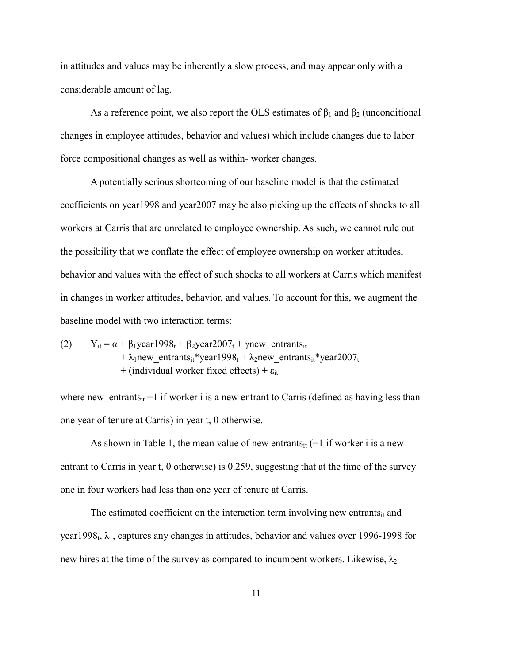in attitudes and values may be inherently a slow process, and may appear only with a considerable amount of lag.

As a reference point, we also report the OLS estimates of  $\beta_1$  and  $\beta_2$  (unconditional changes in employee attitudes, behavior and values) which include changes due to labor force compositional changes as well as within- worker changes.

A potentially serious shortcoming of our baseline model is that the estimated coefficients on year1998 and year2007 may be also picking up the effects of shocks to all workers at Carris that are unrelated to employee ownership. As such, we cannot rule out the possibility that we conflate the effect of employee ownership on worker attitudes, behavior and values with the effect of such shocks to all workers at Carris which manifest in changes in worker attitudes, behavior, and values. To account for this, we augment the baseline model with two interaction terms:

(2) 
$$
Y_{it} = \alpha + \beta_1 \text{year} 1998_t + \beta_2 \text{year} 2007_t + \gamma \text{new\_entrants}_{it} + \lambda_1 \text{new\_entrants}_{it} * \text{year} 1998_t + \lambda_2 \text{new\_entrants}_{it} * \text{year} 2007_t + (\text{individual worker fixed effects}) + \epsilon_{it}
$$

where new entrants<sub>it</sub> =1 if worker i is a new entrant to Carris (defined as having less than one year of tenure at Carris) in year t, 0 otherwise.

As shown in Table 1, the mean value of new entrants<sub>it</sub>  $(=1 \text{ if worker } i \text{ is a new})$ entrant to Carris in year t, 0 otherwise) is 0.259, suggesting that at the time of the survey one in four workers had less than one year of tenure at Carris.

The estimated coefficient on the interaction term involving new entrants $_{it}$  and year1998<sub>t</sub>,  $\lambda_1$ , captures any changes in attitudes, behavior and values over 1996-1998 for new hires at the time of the survey as compared to incumbent workers. Likewise,  $\lambda_2$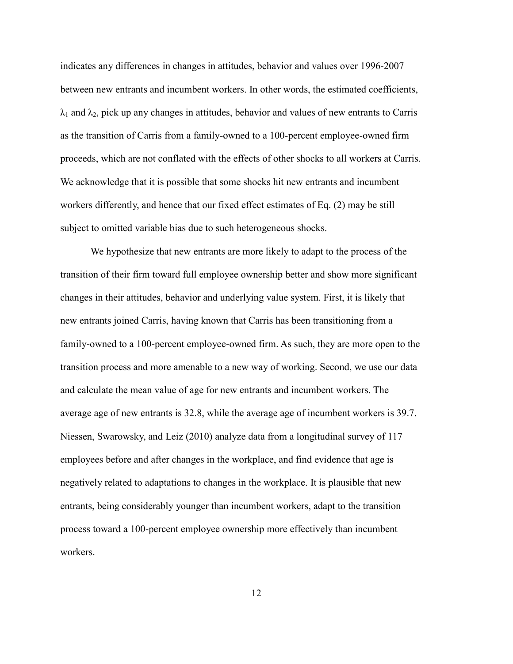indicates any differences in changes in attitudes, behavior and values over 1996-2007 between new entrants and incumbent workers. In other words, the estimated coefficients,  $\lambda_1$  and  $\lambda_2$ , pick up any changes in attitudes, behavior and values of new entrants to Carris as the transition of Carris from a family-owned to a 100-percent employee-owned firm proceeds, which are not conflated with the effects of other shocks to all workers at Carris. We acknowledge that it is possible that some shocks hit new entrants and incumbent workers differently, and hence that our fixed effect estimates of Eq. (2) may be still subject to omitted variable bias due to such heterogeneous shocks.

We hypothesize that new entrants are more likely to adapt to the process of the transition of their firm toward full employee ownership better and show more significant changes in their attitudes, behavior and underlying value system. First, it is likely that new entrants joined Carris, having known that Carris has been transitioning from a family-owned to a 100-percent employee-owned firm. As such, they are more open to the transition process and more amenable to a new way of working. Second, we use our data and calculate the mean value of age for new entrants and incumbent workers. The average age of new entrants is 32.8, while the average age of incumbent workers is 39.7. Niessen, Swarowsky, and Leiz (2010) analyze data from a longitudinal survey of 117 employees before and after changes in the workplace, and find evidence that age is negatively related to adaptations to changes in the workplace. It is plausible that new entrants, being considerably younger than incumbent workers, adapt to the transition process toward a 100-percent employee ownership more effectively than incumbent workers.

12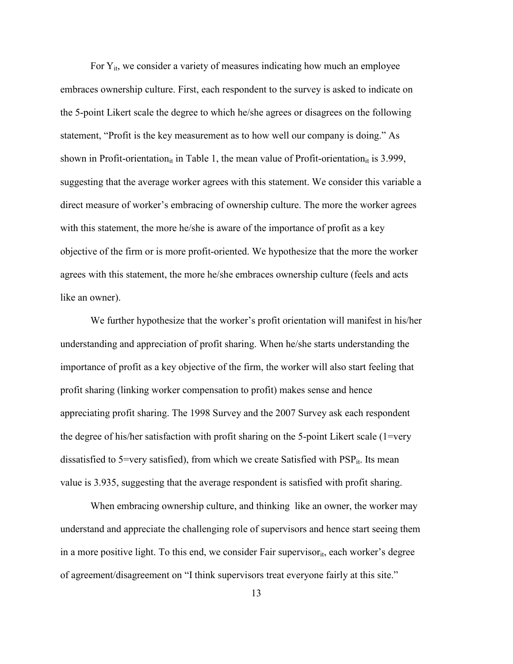For  $Y_{it}$ , we consider a variety of measures indicating how much an employee embraces ownership culture. First, each respondent to the survey is asked to indicate on the 5-point Likert scale the degree to which he/she agrees or disagrees on the following statement, "Profit is the key measurement as to how well our company is doing." As shown in Profit-orientation<sub>it</sub> in Table 1, the mean value of Profit-orientation<sub>it</sub> is 3.999, suggesting that the average worker agrees with this statement. We consider this variable a direct measure of worker's embracing of ownership culture. The more the worker agrees with this statement, the more he/she is aware of the importance of profit as a key objective of the firm or is more profit-oriented. We hypothesize that the more the worker agrees with this statement, the more he/she embraces ownership culture (feels and acts like an owner).

We further hypothesize that the worker's profit orientation will manifest in his/her understanding and appreciation of profit sharing. When he/she starts understanding the importance of profit as a key objective of the firm, the worker will also start feeling that profit sharing (linking worker compensation to profit) makes sense and hence appreciating profit sharing. The 1998 Survey and the 2007 Survey ask each respondent the degree of his/her satisfaction with profit sharing on the 5-point Likert scale (1=very dissatisfied to 5=very satisfied), from which we create Satisfied with  $PSP_{it}$ . Its mean value is 3.935, suggesting that the average respondent is satisfied with profit sharing.

When embracing ownership culture, and thinking like an owner, the worker may understand and appreciate the challenging role of supervisors and hence start seeing them in a more positive light. To this end, we consider Fair supervisor<sub>it</sub>, each worker's degree of agreement/disagreement on "I think supervisors treat everyone fairly at this site."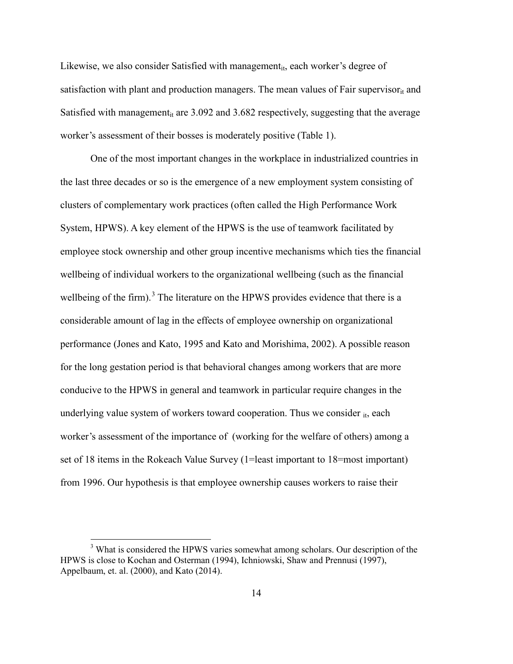Likewise, we also consider Satisfied with management<sub>it</sub>, each worker's degree of satisfaction with plant and production managers. The mean values of Fair supervisor $_{it}$  and Satisfied with management<sub>it</sub> are 3.092 and 3.682 respectively, suggesting that the average worker's assessment of their bosses is moderately positive (Table 1).

One of the most important changes in the workplace in industrialized countries in the last three decades or so is the emergence of a new employment system consisting of clusters of complementary work practices (often called the High Performance Work System, HPWS). A key element of the HPWS is the use of teamwork facilitated by employee stock ownership and other group incentive mechanisms which ties the financial wellbeing of individual workers to the organizational wellbeing (such as the financial wellbeing of the firm).<sup>[3](#page-14-0)</sup> The literature on the HPWS provides evidence that there is a considerable amount of lag in the effects of employee ownership on organizational performance (Jones and Kato, 1995 and Kato and Morishima, 2002). A possible reason for the long gestation period is that behavioral changes among workers that are more conducive to the HPWS in general and teamwork in particular require changes in the underlying value system of workers toward cooperation. Thus we consider  $_{it}$ , each worker's assessment of the importance of (working for the welfare of others) among a set of 18 items in the Rokeach Value Survey (1=least important to 18=most important) from 1996. Our hypothesis is that employee ownership causes workers to raise their

 $\overline{a}$ 

<span id="page-14-0"></span><sup>&</sup>lt;sup>3</sup> What is considered the HPWS varies somewhat among scholars. Our description of the HPWS is close to Kochan and Osterman (1994), Ichniowski, Shaw and Prennusi (1997), Appelbaum, et. al. (2000), and Kato (2014).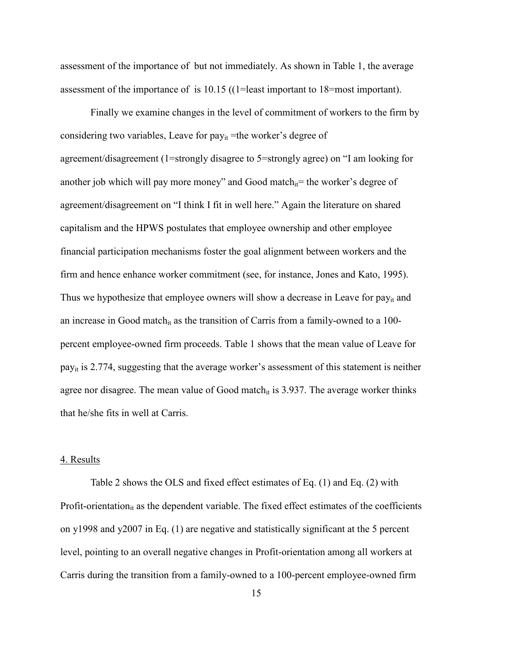assessment of the importance of but not immediately. As shown in Table 1, the average assessment of the importance of is 10.15 ((1=least important to 18=most important).

Finally we examine changes in the level of commitment of workers to the firm by considering two variables, Leave for  $pay_{it}$  =the worker's degree of agreement/disagreement (1=strongly disagree to 5=strongly agree) on "I am looking for another job which will pay more money" and Good match $_{it}$ = the worker's degree of agreement/disagreement on "I think I fit in well here." Again the literature on shared capitalism and the HPWS postulates that employee ownership and other employee financial participation mechanisms foster the goal alignment between workers and the firm and hence enhance worker commitment (see, for instance, Jones and Kato, 1995). Thus we hypothesize that employee owners will show a decrease in Leave for  $pay_{it}$  and an increase in Good match<sub>it</sub> as the transition of Carris from a family-owned to a 100percent employee-owned firm proceeds. Table 1 shows that the mean value of Leave for pay<sub>it</sub> is 2.774, suggesting that the average worker's assessment of this statement is neither agree nor disagree. The mean value of Good match $_{it}$  is 3.937. The average worker thinks that he/she fits in well at Carris.

#### 4. Results

Table 2 shows the OLS and fixed effect estimates of Eq. (1) and Eq. (2) with Profit-orientation $\mathbf{u}_{it}$  as the dependent variable. The fixed effect estimates of the coefficients on y1998 and y2007 in Eq. (1) are negative and statistically significant at the 5 percent level, pointing to an overall negative changes in Profit-orientation among all workers at Carris during the transition from a family-owned to a 100-percent employee-owned firm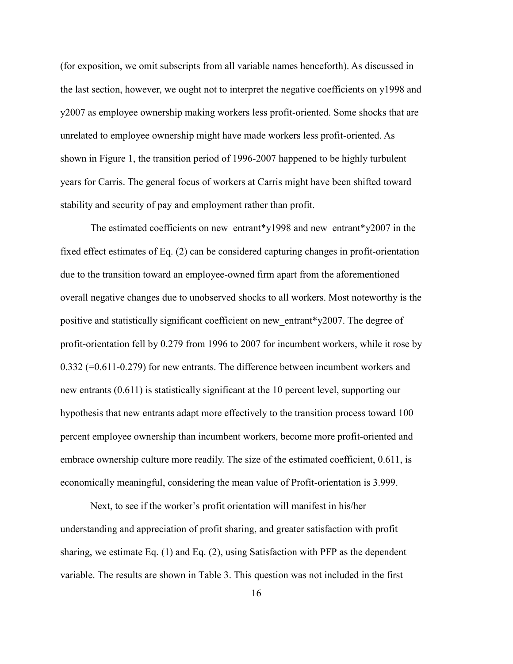(for exposition, we omit subscripts from all variable names henceforth). As discussed in the last section, however, we ought not to interpret the negative coefficients on y1998 and y2007 as employee ownership making workers less profit-oriented. Some shocks that are unrelated to employee ownership might have made workers less profit-oriented. As shown in Figure 1, the transition period of 1996-2007 happened to be highly turbulent years for Carris. The general focus of workers at Carris might have been shifted toward stability and security of pay and employment rather than profit.

The estimated coefficients on new entrant\*y1998 and new entrant\*y2007 in the fixed effect estimates of Eq. (2) can be considered capturing changes in profit-orientation due to the transition toward an employee-owned firm apart from the aforementioned overall negative changes due to unobserved shocks to all workers. Most noteworthy is the positive and statistically significant coefficient on new\_entrant\*y2007. The degree of profit-orientation fell by 0.279 from 1996 to 2007 for incumbent workers, while it rose by 0.332 (=0.611-0.279) for new entrants. The difference between incumbent workers and new entrants (0.611) is statistically significant at the 10 percent level, supporting our hypothesis that new entrants adapt more effectively to the transition process toward 100 percent employee ownership than incumbent workers, become more profit-oriented and embrace ownership culture more readily. The size of the estimated coefficient, 0.611, is economically meaningful, considering the mean value of Profit-orientation is 3.999.

Next, to see if the worker's profit orientation will manifest in his/her understanding and appreciation of profit sharing, and greater satisfaction with profit sharing, we estimate Eq. (1) and Eq. (2), using Satisfaction with PFP as the dependent variable. The results are shown in Table 3. This question was not included in the first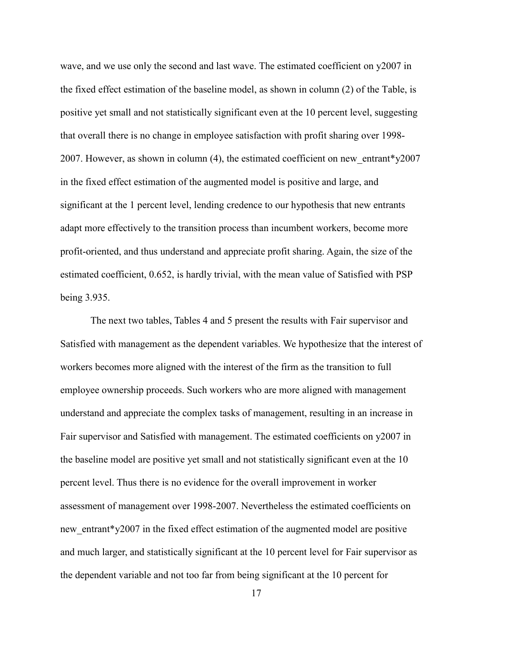wave, and we use only the second and last wave. The estimated coefficient on y2007 in the fixed effect estimation of the baseline model, as shown in column (2) of the Table, is positive yet small and not statistically significant even at the 10 percent level, suggesting that overall there is no change in employee satisfaction with profit sharing over 1998- 2007. However, as shown in column  $(4)$ , the estimated coefficient on new entrant\*y2007 in the fixed effect estimation of the augmented model is positive and large, and significant at the 1 percent level, lending credence to our hypothesis that new entrants adapt more effectively to the transition process than incumbent workers, become more profit-oriented, and thus understand and appreciate profit sharing. Again, the size of the estimated coefficient, 0.652, is hardly trivial, with the mean value of Satisfied with PSP being 3.935.

The next two tables, Tables 4 and 5 present the results with Fair supervisor and Satisfied with management as the dependent variables. We hypothesize that the interest of workers becomes more aligned with the interest of the firm as the transition to full employee ownership proceeds. Such workers who are more aligned with management understand and appreciate the complex tasks of management, resulting in an increase in Fair supervisor and Satisfied with management. The estimated coefficients on y2007 in the baseline model are positive yet small and not statistically significant even at the 10 percent level. Thus there is no evidence for the overall improvement in worker assessment of management over 1998-2007. Nevertheless the estimated coefficients on new entrant\*y2007 in the fixed effect estimation of the augmented model are positive and much larger, and statistically significant at the 10 percent level for Fair supervisor as the dependent variable and not too far from being significant at the 10 percent for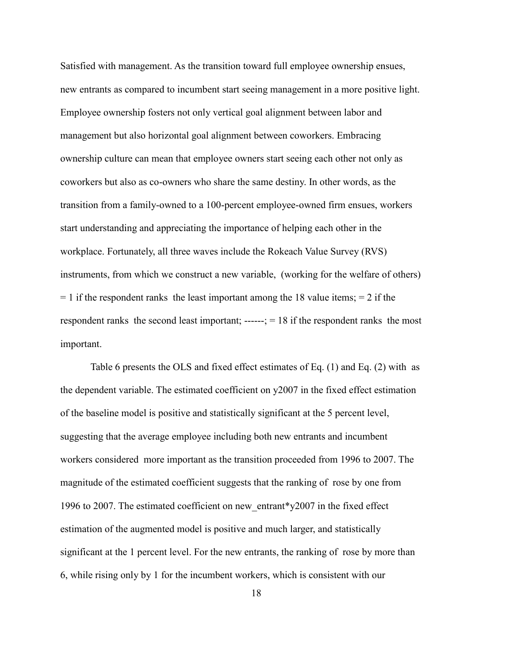Satisfied with management. As the transition toward full employee ownership ensues, new entrants as compared to incumbent start seeing management in a more positive light. Employee ownership fosters not only vertical goal alignment between labor and management but also horizontal goal alignment between coworkers. Embracing ownership culture can mean that employee owners start seeing each other not only as coworkers but also as co-owners who share the same destiny. In other words, as the transition from a family-owned to a 100-percent employee-owned firm ensues, workers start understanding and appreciating the importance of helping each other in the workplace. Fortunately, all three waves include the Rokeach Value Survey (RVS) instruments, from which we construct a new variable, (working for the welfare of others)  $= 1$  if the respondent ranks the least important among the 18 value items;  $= 2$  if the respondent ranks the second least important; ------; = 18 if the respondent ranks the most important.

Table 6 presents the OLS and fixed effect estimates of Eq. (1) and Eq. (2) with as the dependent variable. The estimated coefficient on y2007 in the fixed effect estimation of the baseline model is positive and statistically significant at the 5 percent level, suggesting that the average employee including both new entrants and incumbent workers considered more important as the transition proceeded from 1996 to 2007. The magnitude of the estimated coefficient suggests that the ranking of rose by one from 1996 to 2007. The estimated coefficient on new\_entrant\*y2007 in the fixed effect estimation of the augmented model is positive and much larger, and statistically significant at the 1 percent level. For the new entrants, the ranking of rose by more than 6, while rising only by 1 for the incumbent workers, which is consistent with our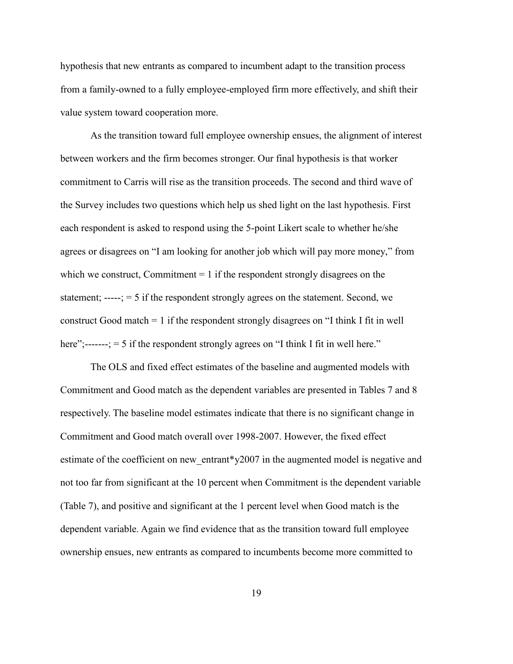hypothesis that new entrants as compared to incumbent adapt to the transition process from a family-owned to a fully employee-employed firm more effectively, and shift their value system toward cooperation more.

As the transition toward full employee ownership ensues, the alignment of interest between workers and the firm becomes stronger. Our final hypothesis is that worker commitment to Carris will rise as the transition proceeds. The second and third wave of the Survey includes two questions which help us shed light on the last hypothesis. First each respondent is asked to respond using the 5-point Likert scale to whether he/she agrees or disagrees on "I am looking for another job which will pay more money," from which we construct, Commitment  $= 1$  if the respondent strongly disagrees on the statement; -----; = 5 if the respondent strongly agrees on the statement. Second, we construct Good match = 1 if the respondent strongly disagrees on "I think I fit in well here";------;  $=$  5 if the respondent strongly agrees on "I think I fit in well here."

The OLS and fixed effect estimates of the baseline and augmented models with Commitment and Good match as the dependent variables are presented in Tables 7 and 8 respectively. The baseline model estimates indicate that there is no significant change in Commitment and Good match overall over 1998-2007. However, the fixed effect estimate of the coefficient on new entrant\*y2007 in the augmented model is negative and not too far from significant at the 10 percent when Commitment is the dependent variable (Table 7), and positive and significant at the 1 percent level when Good match is the dependent variable. Again we find evidence that as the transition toward full employee ownership ensues, new entrants as compared to incumbents become more committed to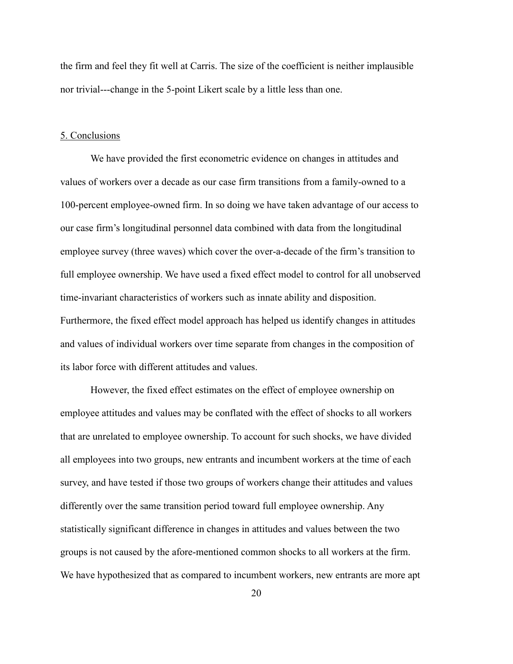the firm and feel they fit well at Carris. The size of the coefficient is neither implausible nor trivial---change in the 5-point Likert scale by a little less than one.

#### 5. Conclusions

We have provided the first econometric evidence on changes in attitudes and values of workers over a decade as our case firm transitions from a family-owned to a 100-percent employee-owned firm. In so doing we have taken advantage of our access to our case firm's longitudinal personnel data combined with data from the longitudinal employee survey (three waves) which cover the over-a-decade of the firm's transition to full employee ownership. We have used a fixed effect model to control for all unobserved time-invariant characteristics of workers such as innate ability and disposition. Furthermore, the fixed effect model approach has helped us identify changes in attitudes and values of individual workers over time separate from changes in the composition of its labor force with different attitudes and values.

However, the fixed effect estimates on the effect of employee ownership on employee attitudes and values may be conflated with the effect of shocks to all workers that are unrelated to employee ownership. To account for such shocks, we have divided all employees into two groups, new entrants and incumbent workers at the time of each survey, and have tested if those two groups of workers change their attitudes and values differently over the same transition period toward full employee ownership. Any statistically significant difference in changes in attitudes and values between the two groups is not caused by the afore-mentioned common shocks to all workers at the firm. We have hypothesized that as compared to incumbent workers, new entrants are more apt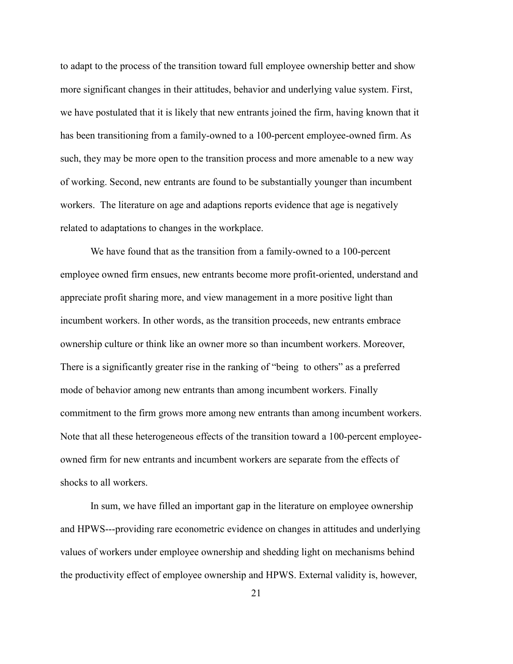to adapt to the process of the transition toward full employee ownership better and show more significant changes in their attitudes, behavior and underlying value system. First, we have postulated that it is likely that new entrants joined the firm, having known that it has been transitioning from a family-owned to a 100-percent employee-owned firm. As such, they may be more open to the transition process and more amenable to a new way of working. Second, new entrants are found to be substantially younger than incumbent workers. The literature on age and adaptions reports evidence that age is negatively related to adaptations to changes in the workplace.

We have found that as the transition from a family-owned to a 100-percent employee owned firm ensues, new entrants become more profit-oriented, understand and appreciate profit sharing more, and view management in a more positive light than incumbent workers. In other words, as the transition proceeds, new entrants embrace ownership culture or think like an owner more so than incumbent workers. Moreover, There is a significantly greater rise in the ranking of "being to others" as a preferred mode of behavior among new entrants than among incumbent workers. Finally commitment to the firm grows more among new entrants than among incumbent workers. Note that all these heterogeneous effects of the transition toward a 100-percent employeeowned firm for new entrants and incumbent workers are separate from the effects of shocks to all workers.

In sum, we have filled an important gap in the literature on employee ownership and HPWS---providing rare econometric evidence on changes in attitudes and underlying values of workers under employee ownership and shedding light on mechanisms behind the productivity effect of employee ownership and HPWS. External validity is, however,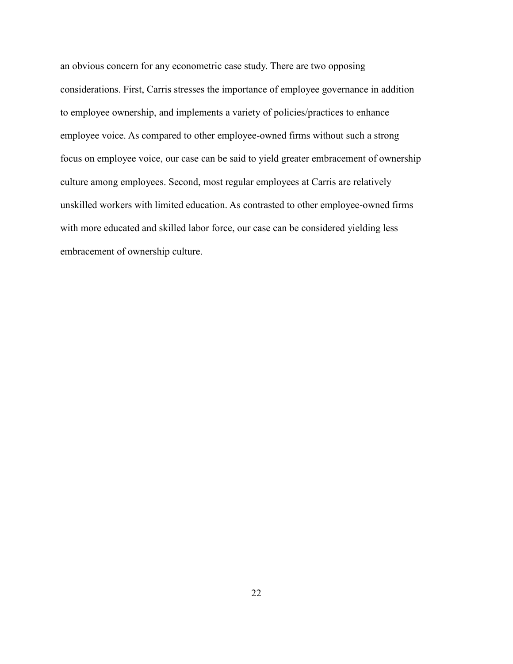an obvious concern for any econometric case study. There are two opposing considerations. First, Carris stresses the importance of employee governance in addition to employee ownership, and implements a variety of policies/practices to enhance employee voice. As compared to other employee-owned firms without such a strong focus on employee voice, our case can be said to yield greater embracement of ownership culture among employees. Second, most regular employees at Carris are relatively unskilled workers with limited education. As contrasted to other employee-owned firms with more educated and skilled labor force, our case can be considered yielding less embracement of ownership culture.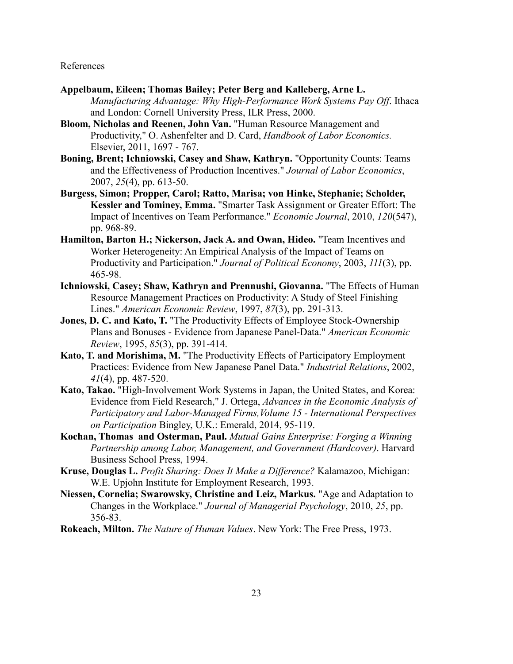#### References

- **Appelbaum, Eileen; Thomas Bailey; Peter Berg and Kalleberg, Arne L.** *Manufacturing Advantage: Why High-Performance Work Systems Pay Off*. Ithaca and London: Cornell University Press, ILR Press, 2000.
- **Bloom, Nicholas and Reenen, John Van.** "Human Resource Management and Productivity," O. Ashenfelter and D. Card, *Handbook of Labor Economics.*  Elsevier, 2011, 1697 - 767.
- **Boning, Brent; Ichniowski, Casey and Shaw, Kathryn.** "Opportunity Counts: Teams and the Effectiveness of Production Incentives." *Journal of Labor Economics*, 2007, *25*(4), pp. 613-50.
- **Burgess, Simon; Propper, Carol; Ratto, Marisa; von Hinke, Stephanie; Scholder, Kessler and Tominey, Emma.** "Smarter Task Assignment or Greater Effort: The Impact of Incentives on Team Performance." *Economic Journal*, 2010, *120*(547), pp. 968-89.
- **Hamilton, Barton H.; Nickerson, Jack A. and Owan, Hideo.** "Team Incentives and Worker Heterogeneity: An Empirical Analysis of the Impact of Teams on Productivity and Participation." *Journal of Political Economy*, 2003, *111*(3), pp. 465-98.
- **Ichniowski, Casey; Shaw, Kathryn and Prennushi, Giovanna.** "The Effects of Human Resource Management Practices on Productivity: A Study of Steel Finishing Lines." *American Economic Review*, 1997, *87*(3), pp. 291-313.
- **Jones, D. C. and Kato, T.** "The Productivity Effects of Employee Stock-Ownership Plans and Bonuses - Evidence from Japanese Panel-Data." *American Economic Review*, 1995, *85*(3), pp. 391-414.
- **Kato, T. and Morishima, M.** "The Productivity Effects of Participatory Employment Practices: Evidence from New Japanese Panel Data." *Industrial Relations*, 2002, *41*(4), pp. 487-520.
- **Kato, Takao.** "High-Involvement Work Systems in Japan, the United States, and Korea: Evidence from Field Research," J. Ortega, *Advances in the Economic Analysis of Participatory and Labor-Managed Firms,Volume 15 - International Perspectives on Participation* Bingley, U.K.: Emerald, 2014, 95-119.
- **Kochan, Thomas and Osterman, Paul.** *Mutual Gains Enterprise: Forging a Winning Partnership among Labor, Management, and Government (Hardcover)*. Harvard Business School Press, 1994.
- **Kruse, Douglas L.** *Profit Sharing: Does It Make a Difference?* Kalamazoo, Michigan: W.E. Upjohn Institute for Employment Research, 1993.
- **Niessen, Cornelia; Swarowsky, Christine and Leiz, Markus.** "Age and Adaptation to Changes in the Workplace." *Journal of Managerial Psychology*, 2010, *25*, pp. 356-83.
- **Rokeach, Milton.** *The Nature of Human Values*. New York: The Free Press, 1973.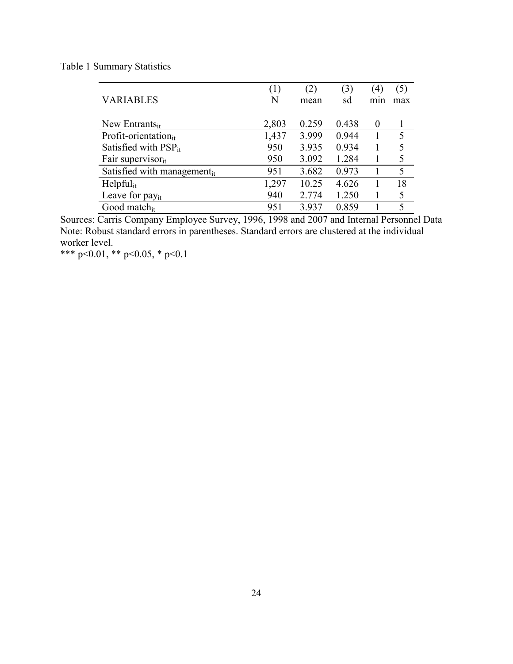Table 1 Summary Statistics

|                                   | (1)   |       | (3)   | $\left(4\right)$ | (5) |
|-----------------------------------|-------|-------|-------|------------------|-----|
| <b>VARIABLES</b>                  | N     | mean  | sd    | min              | max |
|                                   |       |       |       |                  |     |
| New Entrants $_{it}$              | 2,803 | 0.259 | 0.438 | $\theta$         |     |
| Profit-orientation <sub>it</sub>  | 1,437 | 3.999 | 0.944 |                  | 5   |
| Satisfied with $PSP_{it}$         | 950   | 3.935 | 0.934 |                  | 5   |
| Fair supervisor $_{it}$           | 950   | 3.092 | 1.284 |                  | 5   |
| Satisfied with management $_{it}$ | 951   | 3.682 | 0.973 |                  | 5   |
| $H$ elpful <sub>it</sub>          | 1,297 | 10.25 | 4.626 |                  | 18  |
| Leave for pay <sub>it</sub>       | 940   | 2.774 | 1.250 |                  | 5   |
| Good match <sub>it</sub>          | 951   | 3.937 | 0.859 |                  | 5   |

Sources: Carris Company Employee Survey, 1996, 1998 and 2007 and Internal Personnel Data Note: Robust standard errors in parentheses. Standard errors are clustered at the individual worker level.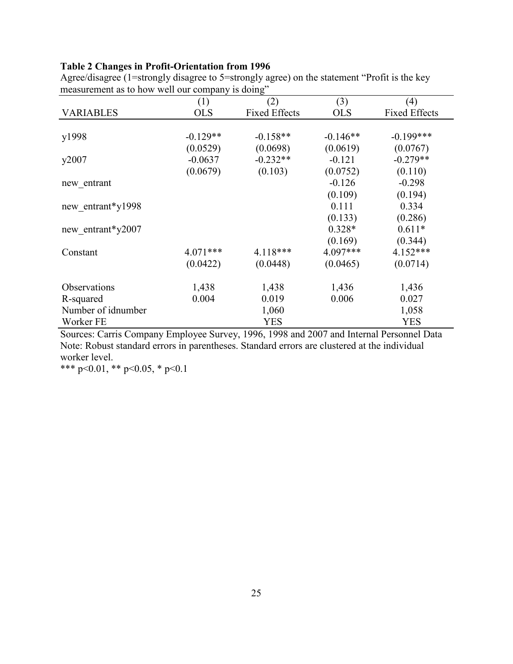### **Table 2 Changes in Profit-Orientation from 1996**

|                    | (1)        | (2)                  | (3)        | (4)                  |
|--------------------|------------|----------------------|------------|----------------------|
| <b>VARIABLES</b>   | <b>OLS</b> | <b>Fixed Effects</b> | <b>OLS</b> | <b>Fixed Effects</b> |
|                    |            |                      |            |                      |
| y1998              | $-0.129**$ | $-0.158**$           | $-0.146**$ | $-0.199***$          |
|                    | (0.0529)   | (0.0698)             | (0.0619)   | (0.0767)             |
| y2007              | $-0.0637$  | $-0.232**$           | $-0.121$   | $-0.279**$           |
|                    | (0.0679)   | (0.103)              | (0.0752)   | (0.110)              |
| new entrant        |            |                      | $-0.126$   | $-0.298$             |
|                    |            |                      | (0.109)    | (0.194)              |
| new entrant*y1998  |            |                      | 0.111      | 0.334                |
|                    |            |                      | (0.133)    | (0.286)              |
| new entrant*y2007  |            |                      | $0.328*$   | $0.611*$             |
|                    |            |                      | (0.169)    | (0.344)              |
| Constant           | $4.071***$ | 4.118***             | 4.097***   | $4.152***$           |
|                    | (0.0422)   | (0.0448)             | (0.0465)   | (0.0714)             |
| Observations       | 1,438      | 1,438                | 1,436      | 1,436                |
| R-squared          | 0.004      | 0.019                | 0.006      | 0.027                |
| Number of idnumber |            | 1,060                |            | 1,058                |
| Worker FE          |            | <b>YES</b>           |            | <b>YES</b>           |

Agree/disagree (1=strongly disagree to 5=strongly agree) on the statement "Profit is the key measurement as to how well our company is doing"

Sources: Carris Company Employee Survey, 1996, 1998 and 2007 and Internal Personnel Data Note: Robust standard errors in parentheses. Standard errors are clustered at the individual worker level.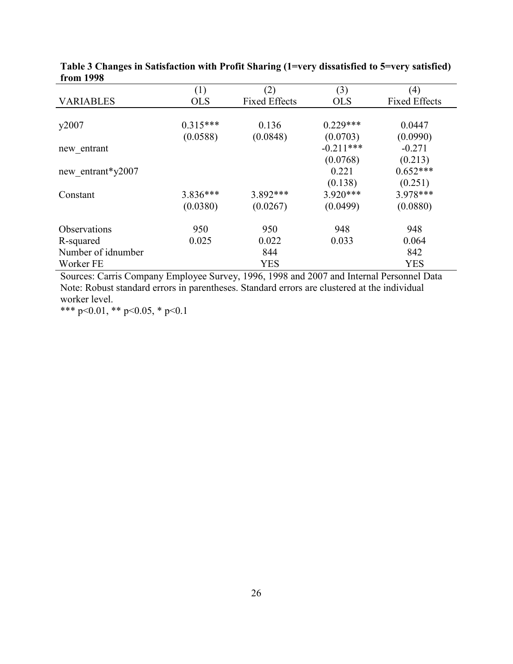|                    | (1)        | (2)                  | (3)         | (4)                  |
|--------------------|------------|----------------------|-------------|----------------------|
| <b>VARIABLES</b>   | <b>OLS</b> | <b>Fixed Effects</b> | <b>OLS</b>  | <b>Fixed Effects</b> |
|                    |            |                      |             |                      |
| y2007              | $0.315***$ | 0.136                | $0.229***$  | 0.0447               |
|                    | (0.0588)   | (0.0848)             | (0.0703)    | (0.0990)             |
| new entrant        |            |                      | $-0.211***$ | $-0.271$             |
|                    |            |                      | (0.0768)    | (0.213)              |
| new entrant*y2007  |            |                      | 0.221       | $0.652***$           |
|                    |            |                      | (0.138)     | (0.251)              |
| Constant           | $3.836***$ | $3.892***$           | $3.920***$  | 3.978***             |
|                    | (0.0380)   | (0.0267)             | (0.0499)    | (0.0880)             |
| Observations       | 950        | 950                  | 948         | 948                  |
| R-squared          | 0.025      | 0.022                | 0.033       | 0.064                |
| Number of idnumber |            | 844                  |             | 842                  |
| Worker FE          |            | <b>YES</b>           |             | <b>YES</b>           |

|           | Table 3 Changes in Satisfaction with Profit Sharing (1=very dissatisfied to 5=very satisfied) |  |
|-----------|-----------------------------------------------------------------------------------------------|--|
| from 1998 |                                                                                               |  |

Sources: Carris Company Employee Survey, 1996, 1998 and 2007 and Internal Personnel Data Note: Robust standard errors in parentheses. Standard errors are clustered at the individual worker level.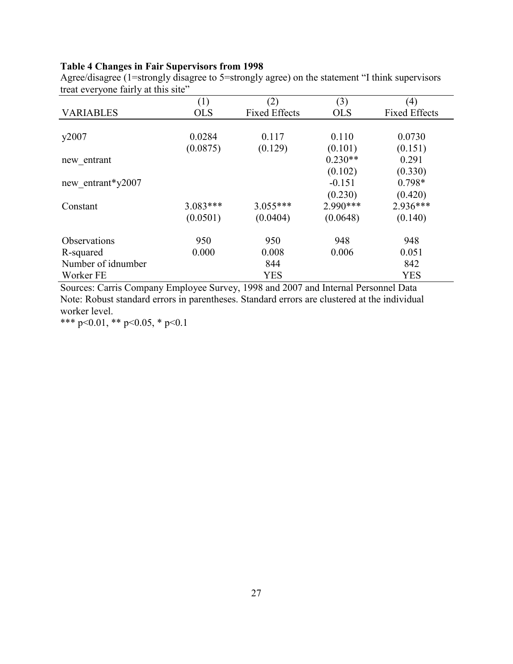## **Table 4 Changes in Fair Supervisors from 1998**

Agree/disagree (1=strongly disagree to 5=strongly agree) on the statement "I think supervisors treat everyone fairly at this site"

|                     | (1)        | (2)                  | (3)        | (4)                  |
|---------------------|------------|----------------------|------------|----------------------|
| <b>VARIABLES</b>    | <b>OLS</b> | <b>Fixed Effects</b> | <b>OLS</b> | <b>Fixed Effects</b> |
|                     |            |                      |            |                      |
| y2007               | 0.0284     | 0.117                | 0.110      | 0.0730               |
|                     | (0.0875)   | (0.129)              | (0.101)    | (0.151)              |
| new entrant         |            |                      | $0.230**$  | 0.291                |
|                     |            |                      | (0.102)    | (0.330)              |
| new entrant*y2007   |            |                      | $-0.151$   | $0.798*$             |
|                     |            |                      | (0.230)    | (0.420)              |
| Constant            | $3.083***$ | $3.055***$           | $2.990***$ | $2.936***$           |
|                     | (0.0501)   | (0.0404)             | (0.0648)   | (0.140)              |
| <b>Observations</b> | 950        | 950                  | 948        | 948                  |
| R-squared           | 0.000      | 0.008                | 0.006      | 0.051                |
| Number of idnumber  |            | 844                  |            | 842                  |
| Worker FE           |            | <b>YES</b>           |            | <b>YES</b>           |

Sources: Carris Company Employee Survey, 1998 and 2007 and Internal Personnel Data Note: Robust standard errors in parentheses. Standard errors are clustered at the individual worker level.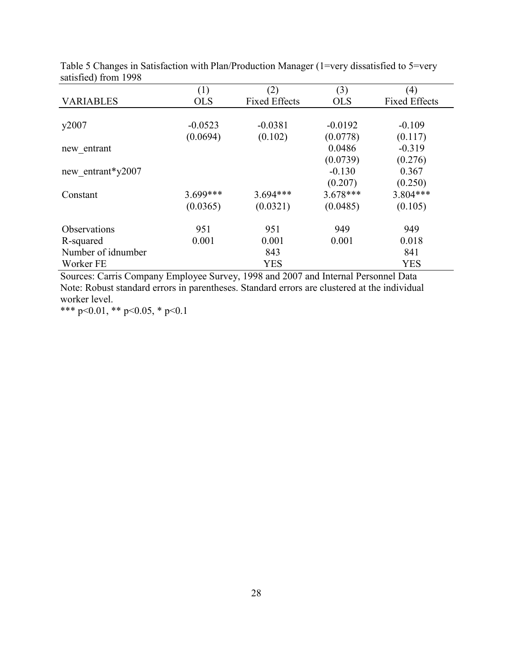|                     | (1)        | (2)                  | (3)        | (4)                  |
|---------------------|------------|----------------------|------------|----------------------|
| <b>VARIABLES</b>    | <b>OLS</b> | <b>Fixed Effects</b> | <b>OLS</b> | <b>Fixed Effects</b> |
|                     |            |                      |            |                      |
| y2007               | $-0.0523$  | $-0.0381$            | $-0.0192$  | $-0.109$             |
|                     | (0.0694)   | (0.102)              | (0.0778)   | (0.117)              |
| new entrant         |            |                      | 0.0486     | $-0.319$             |
|                     |            |                      | (0.0739)   | (0.276)              |
| new entrant*y2007   |            |                      | $-0.130$   | 0.367                |
|                     |            |                      | (0.207)    | (0.250)              |
| Constant            | $3.699***$ | $3.694***$           | $3.678***$ | 3.804***             |
|                     | (0.0365)   | (0.0321)             | (0.0485)   | (0.105)              |
| <b>Observations</b> | 951        | 951                  | 949        | 949                  |
| R-squared           | 0.001      | 0.001                | 0.001      | 0.018                |
| Number of idnumber  |            | 843                  |            | 841                  |
| Worker FE           |            | <b>YES</b>           |            | <b>YES</b>           |

Table 5 Changes in Satisfaction with Plan/Production Manager (1=very dissatisfied to 5=very satisfied) from 1998

Sources: Carris Company Employee Survey, 1998 and 2007 and Internal Personnel Data Note: Robust standard errors in parentheses. Standard errors are clustered at the individual worker level.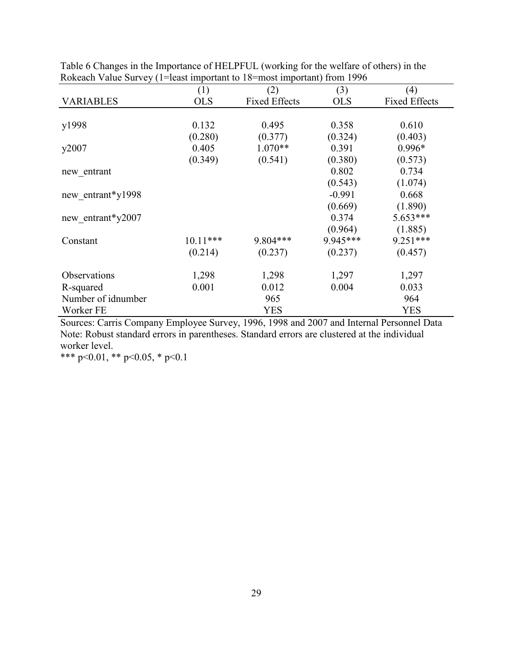|                    | (1)        | (2)                  | (3)        | (4)                  |
|--------------------|------------|----------------------|------------|----------------------|
| <b>VARIABLES</b>   | <b>OLS</b> | <b>Fixed Effects</b> | <b>OLS</b> | <b>Fixed Effects</b> |
|                    |            |                      |            |                      |
| y1998              | 0.132      | 0.495                | 0.358      | 0.610                |
|                    | (0.280)    | (0.377)              | (0.324)    | (0.403)              |
| y2007              | 0.405      | $1.070**$            | 0.391      | $0.996*$             |
|                    | (0.349)    | (0.541)              | (0.380)    | (0.573)              |
| new entrant        |            |                      | 0.802      | 0.734                |
|                    |            |                      | (0.543)    | (1.074)              |
| new_entrant*y1998  |            |                      | $-0.991$   | 0.668                |
|                    |            |                      | (0.669)    | (1.890)              |
| new entrant*y2007  |            |                      | 0.374      | $5.653***$           |
|                    |            |                      | (0.964)    | (1.885)              |
| Constant           | $10.11***$ | 9.804***             | 9.945***   | $9.251***$           |
|                    | (0.214)    | (0.237)              | (0.237)    | (0.457)              |
| Observations       | 1,298      | 1,298                | 1,297      | 1,297                |
| R-squared          | 0.001      | 0.012                | 0.004      | 0.033                |
| Number of idnumber |            | 965                  |            | 964                  |
| Worker FE          |            | YES                  |            | <b>YES</b>           |

Table 6 Changes in the Importance of HELPFUL (working for the welfare of others) in the Rokeach Value Survey (1=least important to 18=most important) from 1996

Sources: Carris Company Employee Survey, 1996, 1998 and 2007 and Internal Personnel Data Note: Robust standard errors in parentheses. Standard errors are clustered at the individual worker level.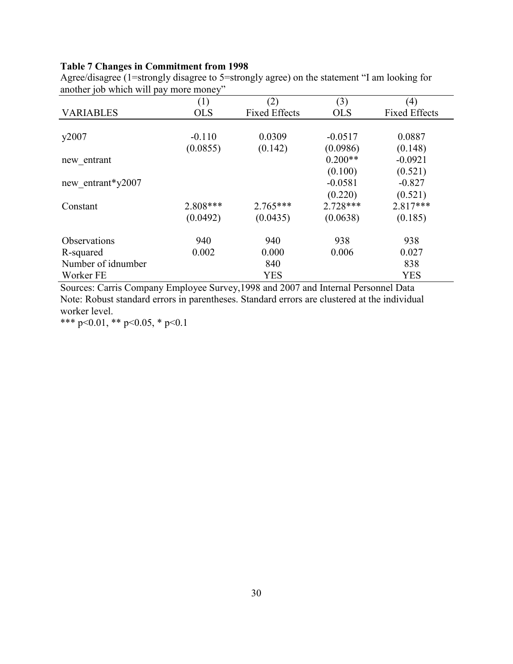## **Table 7 Changes in Commitment from 1998**

|                    | (1)        | (2)                  | (3)        | (4)                  |
|--------------------|------------|----------------------|------------|----------------------|
|                    |            |                      |            |                      |
| <b>VARIABLES</b>   | <b>OLS</b> | <b>Fixed Effects</b> | <b>OLS</b> | <b>Fixed Effects</b> |
|                    |            |                      |            |                      |
| y2007              | $-0.110$   | 0.0309               | $-0.0517$  | 0.0887               |
|                    | (0.0855)   | (0.142)              | (0.0986)   | (0.148)              |
| new entrant        |            |                      | $0.200**$  | $-0.0921$            |
|                    |            |                      | (0.100)    | (0.521)              |
| new entrant*y2007  |            |                      | $-0.0581$  | $-0.827$             |
|                    |            |                      | (0.220)    | (0.521)              |
| Constant           | 2.808***   | $2.765***$           | $2.728***$ | 2.817***             |
|                    | (0.0492)   | (0.0435)             | (0.0638)   | (0.185)              |
| Observations       | 940        | 940                  | 938        | 938                  |
| R-squared          | 0.002      | 0.000                | 0.006      | 0.027                |
| Number of idnumber |            | 840                  |            | 838                  |
| Worker FE          |            | <b>YES</b>           |            | <b>YES</b>           |

Agree/disagree (1=strongly disagree to 5=strongly agree) on the statement "I am looking for another job which will pay more money"

Sources: Carris Company Employee Survey,1998 and 2007 and Internal Personnel Data Note: Robust standard errors in parentheses. Standard errors are clustered at the individual worker level.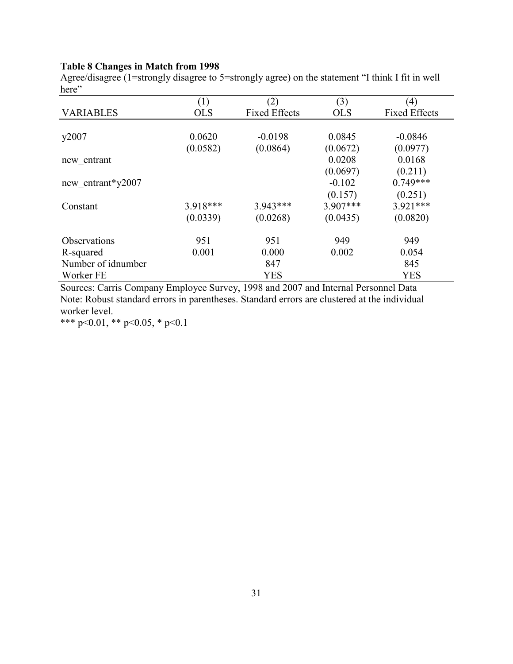## **Table 8 Changes in Match from 1998**

Agree/disagree (1=strongly disagree to 5=strongly agree) on the statement "I think I fit in well here"

|                     | (1)        | (2)                  | (3)        | (4)                  |
|---------------------|------------|----------------------|------------|----------------------|
| <b>VARIABLES</b>    | <b>OLS</b> | <b>Fixed Effects</b> | <b>OLS</b> | <b>Fixed Effects</b> |
|                     |            |                      |            |                      |
| y2007               | 0.0620     | $-0.0198$            | 0.0845     | $-0.0846$            |
|                     | (0.0582)   | (0.0864)             | (0.0672)   | (0.0977)             |
| new entrant         |            |                      | 0.0208     | 0.0168               |
|                     |            |                      | (0.0697)   | (0.211)              |
| new entrant*y2007   |            |                      | $-0.102$   | $0.749***$           |
|                     |            |                      | (0.157)    | (0.251)              |
| Constant            | 3.918***   | $3.943***$           | $3.907***$ | $3.921***$           |
|                     | (0.0339)   | (0.0268)             | (0.0435)   | (0.0820)             |
| <b>Observations</b> | 951        | 951                  | 949        | 949                  |
| R-squared           | 0.001      | 0.000                | 0.002      | 0.054                |
| Number of idnumber  |            | 847                  |            | 845                  |
| Worker FE           |            | <b>YES</b>           |            | <b>YES</b>           |

Sources: Carris Company Employee Survey, 1998 and 2007 and Internal Personnel Data Note: Robust standard errors in parentheses. Standard errors are clustered at the individual worker level.